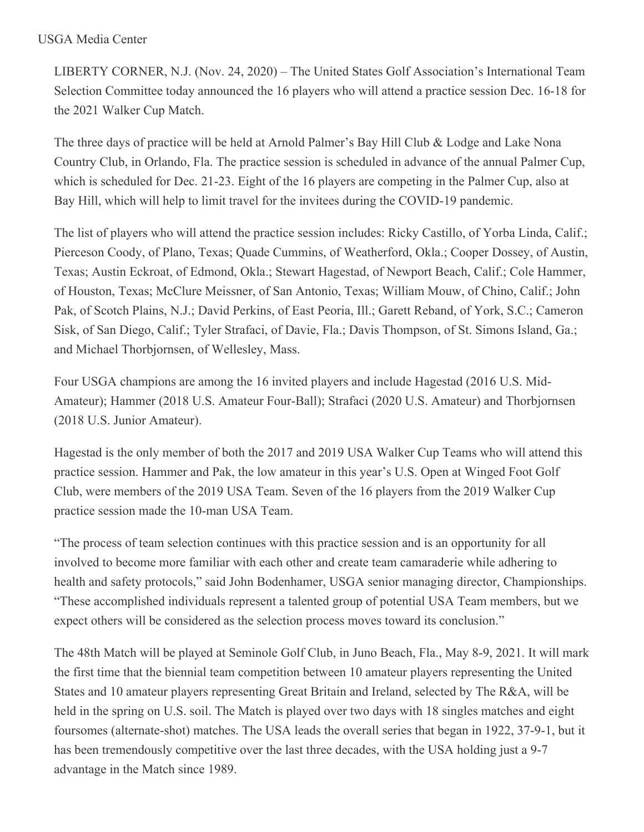## USGA Media Center

LIBERTY CORNER, N.J. (Nov. 24, 2020) – The United States Golf Association's International Team Selection Committee today announced the 16 players who will attend a practice session Dec. 16-18 for the 2021 Walker Cup Match.

The three days of practice will be held at Arnold Palmer's Bay Hill Club & Lodge and Lake Nona Country Club, in Orlando, Fla. The practice session is scheduled in advance of the annual Palmer Cup, which is scheduled for Dec. 21-23. Eight of the 16 players are competing in the Palmer Cup, also at Bay Hill, which will help to limit travel for the invitees during the COVID-19 pandemic.

The list of players who will attend the practice session includes: Ricky Castillo, of Yorba Linda, Calif.; Pierceson Coody, of Plano, Texas; Quade Cummins, of Weatherford, Okla.; Cooper Dossey, of Austin, Texas; Austin Eckroat, of Edmond, Okla.; Stewart Hagestad, of Newport Beach, Calif.; Cole Hammer, of Houston, Texas; McClure Meissner, of San Antonio, Texas; William Mouw, of Chino, Calif.; John Pak, of Scotch Plains, N.J.; David Perkins, of East Peoria, Ill.; Garett Reband, of York, S.C.; Cameron Sisk, of San Diego, Calif.; Tyler Strafaci, of Davie, Fla.; Davis Thompson, of St. Simons Island, Ga.; and Michael Thorbjornsen, of Wellesley, Mass.

Four USGA champions are among the 16 invited players and include Hagestad (2016 U.S. Mid-Amateur); Hammer (2018 U.S. Amateur Four-Ball); Strafaci (2020 U.S. Amateur) and Thorbjornsen (2018 U.S. Junior Amateur).

Hagestad is the only member of both the 2017 and 2019 USA Walker Cup Teams who will attend this practice session. Hammer and Pak, the low amateur in this year's U.S. Open at Winged Foot Golf Club, were members of the 2019 USA Team. Seven of the 16 players from the 2019 Walker Cup practice session made the 10-man USA Team.

"The process of team selection continues with this practice session and is an opportunity for all involved to become more familiar with each other and create team camaraderie while adhering to health and safety protocols," said John Bodenhamer, USGA senior managing director, Championships. "These accomplished individuals represent a talented group of potential USA Team members, but we expect others will be considered as the selection process moves toward its conclusion."

The 48th Match will be played at Seminole Golf Club, in Juno Beach, Fla., May 8-9, 2021. It will mark the first time that the biennial team competition between 10 amateur players representing the United States and 10 amateur players representing Great Britain and Ireland, selected by The R&A, will be held in the spring on U.S. soil. The Match is played over two days with 18 singles matches and eight foursomes (alternate-shot) matches. The USA leads the overall series that began in 1922, 37-9-1, but it has been tremendously competitive over the last three decades, with the USA holding just a 9-7 advantage in the Match since 1989.